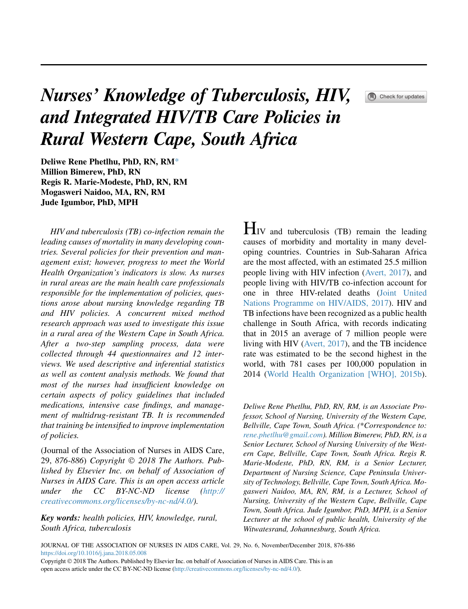

# Nurses' Knowledge of Tuberculosis, HIV, and Integrated HIV/TB Care Policies in Rural Western Cape, South Africa

Deliwe Rene Phetlhu, PhD, RN, RM\* Million Bimerew, PhD, RN Regis R. Marie-Modeste, PhD, RN, RM Mogasweri Naidoo, MA, RN, RM Jude Igumbor, PhD, MPH

HIV and tuberculosis (TB) co-infection remain the leading causes of mortality in many developing countries. Several policies for their prevention and management exist; however, progress to meet the World Health Organization's indicators is slow. As nurses in rural areas are the main health care professionals responsible for the implementation of policies, questions arose about nursing knowledge regarding TB and HIV policies. A concurrent mixed method research approach was used to investigate this issue in a rural area of the Western Cape in South Africa. After a two-step sampling process, data were collected through 44 questionnaires and 12 interviews. We used descriptive and inferential statistics as well as content analysis methods. We found that most of the nurses had insufficient knowledge on certain aspects of policy guidelines that included medications, intensive case findings, and management of multidrug-resistant TB. It is recommended that training be intensified to improve implementation of policies.

(Journal of the Association of Nurses in AIDS Care, 29, 876-886) Copyright  $\odot$  2018 The Authors. Published by Elsevier Inc. on behalf of Association of Nurses in AIDS Care. This is an open access article under the CC BY-NC-ND license [\(http://](http://creativecommons.org/licenses/by-nc-nd/4.0/) [creativecommons.org/licenses/by-nc-nd/4.0/\)](http://creativecommons.org/licenses/by-nc-nd/4.0/).

Key words: health policies, HIV, knowledge, rural, South Africa, tuberculosis

HIV and tuberculosis (TB) remain the leading causes of morbidity and mortality in many developing countries. Countries in Sub-Saharan Africa are the most affected, with an estimated 25.5 million people living with HIV infection ([Avert, 2017](#page-9-0)), and people living with HIV/TB co-infection account for one in three HIV-related deaths [\(Joint United](#page-10-0) [Nations Programme on HIV/AIDS, 2017\)](#page-10-0). HIV and TB infections have been recognized as a public health challenge in South Africa, with records indicating that in 2015 an average of 7 million people were living with HIV [\(Avert, 2017\)](#page-9-0), and the TB incidence rate was estimated to be the second highest in the world, with 781 cases per 100,000 population in 2014 [\(World Health Organization \[WHO\], 2015b\)](#page-10-0).

Deliwe Rene Phetlhu, PhD, RN, RM, is an Associate Professor, School of Nursing, University of the Western Cape, Bellville, Cape Town, South Africa. (\*Correspondence to: [rene.phetlhu@gmail.com\)](mailto:rene.phetlhu@gmail.com). Million Bimerew, PhD, RN, is a Senior Lecturer, School of Nursing University of the Western Cape, Bellville, Cape Town, South Africa. Regis R. Marie-Modeste, PhD, RN, RM, is a Senior Lecturer, Department of Nursing Science, Cape Peninsula University of Technology, Bellville, Cape Town, South Africa. Mogasweri Naidoo, MA, RN, RM, is a Lecturer, School of Nursing, University of the Western Cape, Bellville, Cape Town, South Africa. Jude Igumbor, PhD, MPH, is a Senior Lecturer at the school of public health, University of the Witwatesrand, Johannesburg, South Africa.

JOURNAL OF THE ASSOCIATION OF NURSES IN AIDS CARE, Vol. 29, No. 6, November/December 2018, 876-886 <https://doi.org/10.1016/j.jana.2018.05.008>

Copyright  $© 2018$  The Authors. Published by Elsevier Inc. on behalf of Association of Nurses in AIDS Care. This is an open access article under the CC BY-NC-ND license (<http://creativecommons.org/licenses/by-nc-nd/4.0/>).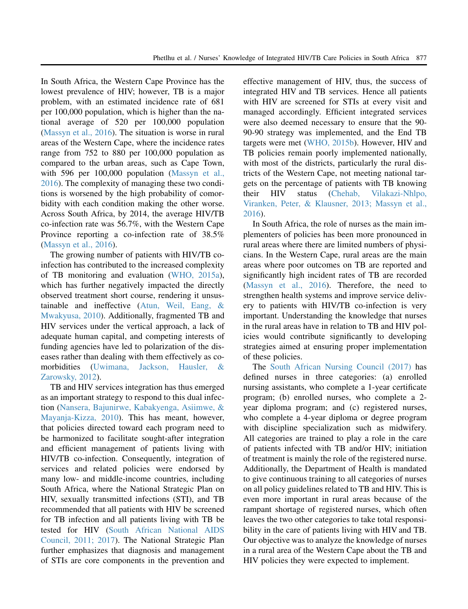In South Africa, the Western Cape Province has the lowest prevalence of HIV; however, TB is a major problem, with an estimated incidence rate of 681 per 100,000 population, which is higher than the national average of 520 per 100,000 population ([Massyn et al., 2016](#page-10-0)). The situation is worse in rural areas of the Western Cape, where the incidence rates range from 752 to 880 per 100,000 population as compared to the urban areas, such as Cape Town, with 596 per 100,000 population ([Massyn et al.,](#page-10-0) [2016\)](#page-10-0). The complexity of managing these two conditions is worsened by the high probability of comorbidity with each condition making the other worse. Across South Africa, by 2014, the average HIV/TB co-infection rate was 56.7%, with the Western Cape Province reporting a co-infection rate of 38.5% ([Massyn et al., 2016\)](#page-10-0).

The growing number of patients with HIV/TB coinfection has contributed to the increased complexity of TB monitoring and evaluation [\(WHO, 2015a\)](#page-10-0), which has further negatively impacted the directly observed treatment short course, rendering it unsustainable and ineffective ([Atun, Weil, Eang, &](#page-9-0) [Mwakyusa, 2010\)](#page-9-0). Additionally, fragmented TB and HIV services under the vertical approach, a lack of adequate human capital, and competing interests of funding agencies have led to polarization of the diseases rather than dealing with them effectively as comorbidities (Uwimana, Jackson, Hausler, [Zarowsky, 2012\)](#page-10-0).

TB and HIV services integration has thus emerged as an important strategy to respond to this dual infection [\(Nansera, Bajunirwe, Kabakyenga, Asiimwe, &](#page-10-0) [Mayanja-Kizza, 2010](#page-10-0)). This has meant, however, that policies directed toward each program need to be harmonized to facilitate sought-after integration and efficient management of patients living with HIV/TB co-infection. Consequently, integration of services and related policies were endorsed by many low- and middle-income countries, including South Africa, where the National Strategic Plan on HIV, sexually transmitted infections (STI), and TB recommended that all patients with HIV be screened for TB infection and all patients living with TB be tested for HIV [\(South African National AIDS](#page-10-0) [Council, 2011; 2017\)](#page-10-0). The National Strategic Plan further emphasizes that diagnosis and management of STIs are core components in the prevention and effective management of HIV, thus, the success of integrated HIV and TB services. Hence all patients with HIV are screened for STIs at every visit and managed accordingly. Efficient integrated services were also deemed necessary to ensure that the 90- 90-90 strategy was implemented, and the End TB targets were met ([WHO, 2015b](#page-10-0)). However, HIV and TB policies remain poorly implemented nationally, with most of the districts, particularly the rural districts of the Western Cape, not meeting national targets on the percentage of patients with TB knowing their HIV status ([Chehab, Vilakazi-Nhlpo,](#page-9-0) [Viranken, Peter, & Klausner, 2013; Massyn et al.,](#page-9-0) [2016\)](#page-9-0).

In South Africa, the role of nurses as the main implementers of policies has been more pronounced in rural areas where there are limited numbers of physicians. In the Western Cape, rural areas are the main areas where poor outcomes on TB are reported and significantly high incident rates of TB are recorded ([Massyn et al., 2016](#page-10-0)). Therefore, the need to strengthen health systems and improve service delivery to patients with HIV/TB co-infection is very important. Understanding the knowledge that nurses in the rural areas have in relation to TB and HIV policies would contribute significantly to developing strategies aimed at ensuring proper implementation of these policies.

The [South African Nursing Council \(2017\)](#page-10-0) has defined nurses in three categories: (a) enrolled nursing assistants, who complete a 1-year certificate program; (b) enrolled nurses, who complete a 2 year diploma program; and (c) registered nurses, who complete a 4-year diploma or degree program with discipline specialization such as midwifery. All categories are trained to play a role in the care of patients infected with TB and/or HIV; initiation of treatment is mainly the role of the registered nurse. Additionally, the Department of Health is mandated to give continuous training to all categories of nurses on all policy guidelines related to TB and HIV. This is even more important in rural areas because of the rampant shortage of registered nurses, which often leaves the two other categories to take total responsibility in the care of patients living with HIV and TB. Our objective was to analyze the knowledge of nurses in a rural area of the Western Cape about the TB and HIV policies they were expected to implement.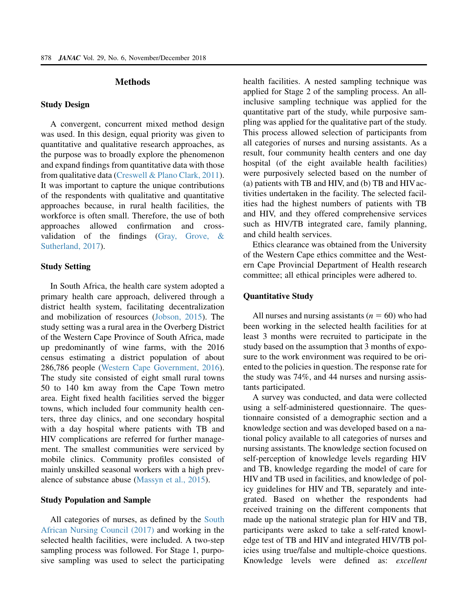## **Methods**

## Study Design

A convergent, concurrent mixed method design was used. In this design, equal priority was given to quantitative and qualitative research approaches, as the purpose was to broadly explore the phenomenon and expand findings from quantitative data with those from qualitative data [\(Creswell & Plano Clark, 2011\)](#page-9-0). It was important to capture the unique contributions of the respondents with qualitative and quantitative approaches because, in rural health facilities, the workforce is often small. Therefore, the use of both approaches allowed confirmation and crossvalidation of the findings ([Gray, Grove, &](#page-9-0) [Sutherland, 2017](#page-9-0)).

## Study Setting

In South Africa, the health care system adopted a primary health care approach, delivered through a district health system, facilitating decentralization and mobilization of resources ([Jobson, 2015\)](#page-9-0). The study setting was a rural area in the Overberg District of the Western Cape Province of South Africa, made up predominantly of wine farms, with the 2016 census estimating a district population of about 286,786 people ([Western Cape Government, 2016\)](#page-10-0). The study site consisted of eight small rural towns 50 to 140 km away from the Cape Town metro area. Eight fixed health facilities served the bigger towns, which included four community health centers, three day clinics, and one secondary hospital with a day hospital where patients with TB and HIV complications are referred for further management. The smallest communities were serviced by mobile clinics. Community profiles consisted of mainly unskilled seasonal workers with a high prevalence of substance abuse [\(Massyn et al., 2015\)](#page-10-0).

## Study Population and Sample

All categories of nurses, as defined by the [South](#page-10-0) [African Nursing Council \(2017\)](#page-10-0) and working in the selected health facilities, were included. A two-step sampling process was followed. For Stage 1, purposive sampling was used to select the participating health facilities. A nested sampling technique was applied for Stage 2 of the sampling process. An allinclusive sampling technique was applied for the quantitative part of the study, while purposive sampling was applied for the qualitative part of the study. This process allowed selection of participants from all categories of nurses and nursing assistants. As a result, four community health centers and one day hospital (of the eight available health facilities) were purposively selected based on the number of (a) patients with TB and HIV, and (b) TB and HIV activities undertaken in the facility. The selected facilities had the highest numbers of patients with TB and HIV, and they offered comprehensive services such as HIV/TB integrated care, family planning, and child health services.

Ethics clearance was obtained from the University of the Western Cape ethics committee and the Western Cape Provincial Department of Health research committee; all ethical principles were adhered to.

#### Quantitative Study

All nurses and nursing assistants ( $n = 60$ ) who had been working in the selected health facilities for at least 3 months were recruited to participate in the study based on the assumption that 3 months of exposure to the work environment was required to be oriented to the policies in question. The response rate for the study was 74%, and 44 nurses and nursing assistants participated.

A survey was conducted, and data were collected using a self-administered questionnaire. The questionnaire consisted of a demographic section and a knowledge section and was developed based on a national policy available to all categories of nurses and nursing assistants. The knowledge section focused on self-perception of knowledge levels regarding HIV and TB, knowledge regarding the model of care for HIV and TB used in facilities, and knowledge of policy guidelines for HIV and TB, separately and integrated. Based on whether the respondents had received training on the different components that made up the national strategic plan for HIV and TB, participants were asked to take a self-rated knowledge test of TB and HIV and integrated HIV/TB policies using true/false and multiple-choice questions. Knowledge levels were defined as: excellent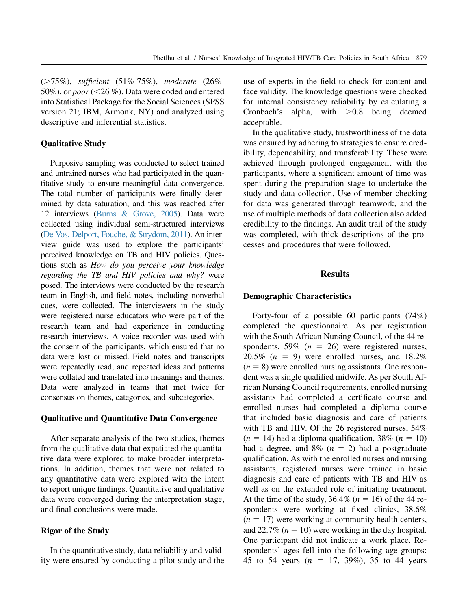(.75%), sufficient (51%-75%), moderate (26%- 50%), or *poor* (<26 %). Data were coded and entered into Statistical Package for the Social Sciences (SPSS version 21; IBM, Armonk, NY) and analyzed using descriptive and inferential statistics.

## Qualitative Study

Purposive sampling was conducted to select trained and untrained nurses who had participated in the quantitative study to ensure meaningful data convergence. The total number of participants were finally determined by data saturation, and this was reached after 12 interviews [\(Burns & Grove, 2005](#page-9-0)). Data were collected using individual semi-structured interviews [\(De Vos, Delport, Fouche, & Strydom, 2011](#page-9-0)). An interview guide was used to explore the participants' perceived knowledge on TB and HIV policies. Questions such as How do you perceive your knowledge regarding the TB and HIV policies and why? were posed. The interviews were conducted by the research team in English, and field notes, including nonverbal cues, were collected. The interviewers in the study were registered nurse educators who were part of the research team and had experience in conducting research interviews. A voice recorder was used with the consent of the participants, which ensured that no data were lost or missed. Field notes and transcripts were repeatedly read, and repeated ideas and patterns were collated and translated into meanings and themes. Data were analyzed in teams that met twice for consensus on themes, categories, and subcategories.

## Qualitative and Quantitative Data Convergence

After separate analysis of the two studies, themes from the qualitative data that expatiated the quantitative data were explored to make broader interpretations. In addition, themes that were not related to any quantitative data were explored with the intent to report unique findings. Quantitative and qualitative data were converged during the interpretation stage, and final conclusions were made.

## Rigor of the Study

In the quantitative study, data reliability and validity were ensured by conducting a pilot study and the use of experts in the field to check for content and face validity. The knowledge questions were checked for internal consistency reliability by calculating a Cronbach's alpha, with  $>0.8$  being deemed acceptable.

In the qualitative study, trustworthiness of the data was ensured by adhering to strategies to ensure credibility, dependability, and transferability. These were achieved through prolonged engagement with the participants, where a significant amount of time was spent during the preparation stage to undertake the study and data collection. Use of member checking for data was generated through teamwork, and the use of multiple methods of data collection also added credibility to the findings. An audit trail of the study was completed, with thick descriptions of the processes and procedures that were followed.

#### **Results**

#### Demographic Characteristics

Forty-four of a possible 60 participants (74%) completed the questionnaire. As per registration with the South African Nursing Council, of the 44 respondents, 59% ( $n = 26$ ) were registered nurses, 20.5%  $(n = 9)$  were enrolled nurses, and 18.2%  $(n = 8)$  were enrolled nursing assistants. One respondent was a single qualified midwife. As per South African Nursing Council requirements, enrolled nursing assistants had completed a certificate course and enrolled nurses had completed a diploma course that included basic diagnosis and care of patients with TB and HIV. Of the 26 registered nurses, 54%  $(n = 14)$  had a diploma qualification, 38%  $(n = 10)$ had a degree, and  $8\%$  ( $n = 2$ ) had a postgraduate qualification. As with the enrolled nurses and nursing assistants, registered nurses were trained in basic diagnosis and care of patients with TB and HIV as well as on the extended role of initiating treatment. At the time of the study,  $36.4\%$  ( $n = 16$ ) of the 44 respondents were working at fixed clinics, 38.6%  $(n = 17)$  were working at community health centers, and 22.7% ( $n = 10$ ) were working in the day hospital. One participant did not indicate a work place. Respondents' ages fell into the following age groups: 45 to 54 years  $(n = 17, 39\%)$ , 35 to 44 years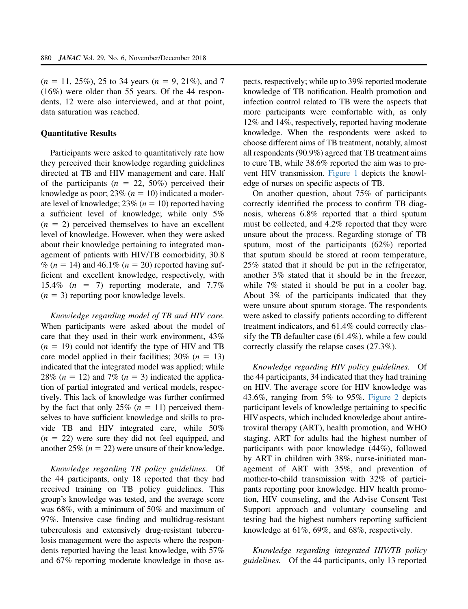$(n = 11, 25\%)$ , 25 to 34 years  $(n = 9, 21\%)$ , and 7 (16%) were older than 55 years. Of the 44 respondents, 12 were also interviewed, and at that point, data saturation was reached.

#### Quantitative Results

Participants were asked to quantitatively rate how they perceived their knowledge regarding guidelines directed at TB and HIV management and care. Half of the participants ( $n = 22, 50\%$ ) perceived their knowledge as poor; 23% ( $n = 10$ ) indicated a moderate level of knowledge;  $23\%$  ( $n = 10$ ) reported having a sufficient level of knowledge; while only 5%  $(n = 2)$  perceived themselves to have an excellent level of knowledge. However, when they were asked about their knowledge pertaining to integrated management of patients with HIV/TB comorbidity, 30.8 % ( $n = 14$ ) and 46.1% ( $n = 20$ ) reported having sufficient and excellent knowledge, respectively, with 15.4%  $(n = 7)$  reporting moderate, and 7.7%  $(n = 3)$  reporting poor knowledge levels.

Knowledge regarding model of TB and HIV care. When participants were asked about the model of care that they used in their work environment, 43%  $(n = 19)$  could not identify the type of HIV and TB care model applied in their facilities;  $30\%$  ( $n = 13$ ) indicated that the integrated model was applied; while 28% ( $n = 12$ ) and 7% ( $n = 3$ ) indicated the application of partial integrated and vertical models, respectively. This lack of knowledge was further confirmed by the fact that only 25%  $(n = 11)$  perceived themselves to have sufficient knowledge and skills to provide TB and HIV integrated care, while 50%  $(n = 22)$  were sure they did not feel equipped, and another 25% ( $n = 22$ ) were unsure of their knowledge.

Knowledge regarding TB policy guidelines. Of the 44 participants, only 18 reported that they had received training on TB policy guidelines. This group's knowledge was tested, and the average score was 68%, with a minimum of 50% and maximum of 97%. Intensive case finding and multidrug-resistant tuberculosis and extensively drug-resistant tuberculosis management were the aspects where the respondents reported having the least knowledge, with 57% and 67% reporting moderate knowledge in those aspects, respectively; while up to 39% reported moderate knowledge of TB notification. Health promotion and infection control related to TB were the aspects that more participants were comfortable with, as only 12% and 14%, respectively, reported having moderate knowledge. When the respondents were asked to choose different aims of TB treatment, notably, almost all respondents (90.9%) agreed that TB treatment aims to cure TB, while 38.6% reported the aim was to prevent HIV transmission. [Figure 1](#page-5-0) depicts the knowledge of nurses on specific aspects of TB.

On another question, about 75% of participants correctly identified the process to confirm TB diagnosis, whereas 6.8% reported that a third sputum must be collected, and 4.2% reported that they were unsure about the process. Regarding storage of TB sputum, most of the participants (62%) reported that sputum should be stored at room temperature, 25% stated that it should be put in the refrigerator, another 3% stated that it should be in the freezer, while 7% stated it should be put in a cooler bag. About 3% of the participants indicated that they were unsure about sputum storage. The respondents were asked to classify patients according to different treatment indicators, and 61.4% could correctly classify the TB defaulter case (61.4%), while a few could correctly classify the relapse cases (27.3%).

Knowledge regarding HIV policy guidelines. Of the 44 participants, 34 indicated that they had training on HIV. The average score for HIV knowledge was 43.6%, ranging from 5% to 95%. [Figure 2](#page-6-0) depicts participant levels of knowledge pertaining to specific HIV aspects, which included knowledge about antiretroviral therapy (ART), health promotion, and WHO staging. ART for adults had the highest number of participants with poor knowledge (44%), followed by ART in children with 38%, nurse-initiated management of ART with 35%, and prevention of mother-to-child transmission with 32% of participants reporting poor knowledge. HIV health promotion, HIV counseling, and the Advise Consent Test Support approach and voluntary counseling and testing had the highest numbers reporting sufficient knowledge at 61%, 69%, and 68%, respectively.

Knowledge regarding integrated HIV/TB policy guidelines. Of the 44 participants, only 13 reported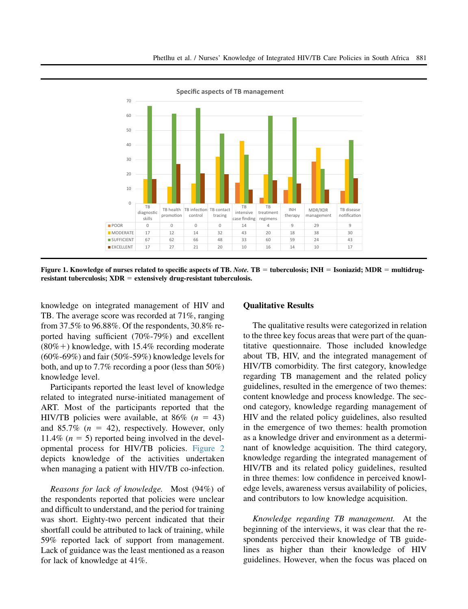<span id="page-5-0"></span>

Figure 1. Knowledge of nurses related to specific aspects of TB. Note. TB = tuberculosis; INH = Isoniazid; MDR = multidrugresistant tuberculosis;  $XDR =$  extensively drug-resistant tuberculosis.

knowledge on integrated management of HIV and TB. The average score was recorded at 71%, ranging from 37.5% to 96.88%. Of the respondents, 30.8% reported having sufficient (70%-79%) and excellent  $(80\% +)$  knowledge, with 15.4% recording moderate  $(60\% - 69\%)$  and fair  $(50\% - 59\%)$  knowledge levels for both, and up to 7.7% recording a poor (less than 50%) knowledge level.

Participants reported the least level of knowledge related to integrated nurse-initiated management of ART. Most of the participants reported that the HIV/TB policies were available, at 86%  $(n = 43)$ and 85.7% ( $n = 42$ ), respectively. However, only 11.4% ( $n = 5$ ) reported being involved in the developmental process for HIV/TB policies. [Figure 2](#page-6-0) depicts knowledge of the activities undertaken when managing a patient with HIV/TB co-infection.

Reasons for lack of knowledge. Most (94%) of the respondents reported that policies were unclear and difficult to understand, and the period for training was short. Eighty-two percent indicated that their shortfall could be attributed to lack of training, while 59% reported lack of support from management. Lack of guidance was the least mentioned as a reason for lack of knowledge at 41%.

#### Qualitative Results

The qualitative results were categorized in relation to the three key focus areas that were part of the quantitative questionnaire. Those included knowledge about TB, HIV, and the integrated management of HIV/TB comorbidity. The first category, knowledge regarding TB management and the related policy guidelines, resulted in the emergence of two themes: content knowledge and process knowledge. The second category, knowledge regarding management of HIV and the related policy guidelines, also resulted in the emergence of two themes: health promotion as a knowledge driver and environment as a determinant of knowledge acquisition. The third category, knowledge regarding the integrated management of HIV/TB and its related policy guidelines, resulted in three themes: low confidence in perceived knowledge levels, awareness versus availability of policies, and contributors to low knowledge acquisition.

Knowledge regarding TB management. At the beginning of the interviews, it was clear that the respondents perceived their knowledge of TB guidelines as higher than their knowledge of HIV guidelines. However, when the focus was placed on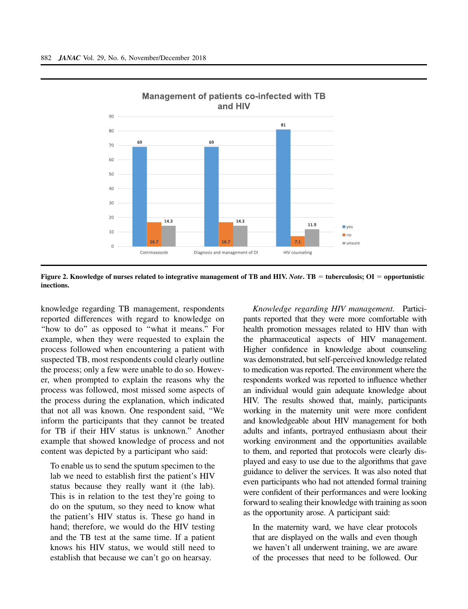<span id="page-6-0"></span>

Figure 2. Knowledge of nurses related to integrative management of TB and HIV. Note. TB = tuberculosis;  $OI = opportunistic$ inections.

knowledge regarding TB management, respondents reported differences with regard to knowledge on ''how to do'' as opposed to ''what it means.'' For example, when they were requested to explain the process followed when encountering a patient with suspected TB, most respondents could clearly outline the process; only a few were unable to do so. However, when prompted to explain the reasons why the process was followed, most missed some aspects of the process during the explanation, which indicated that not all was known. One respondent said, ''We inform the participants that they cannot be treated for TB if their HIV status is unknown.'' Another example that showed knowledge of process and not content was depicted by a participant who said:

To enable us to send the sputum specimen to the lab we need to establish first the patient's HIV status because they really want it (the lab). This is in relation to the test they're going to do on the sputum, so they need to know what the patient's HIV status is. These go hand in hand; therefore, we would do the HIV testing and the TB test at the same time. If a patient knows his HIV status, we would still need to establish that because we can't go on hearsay.

Knowledge regarding HIV management. Participants reported that they were more comfortable with health promotion messages related to HIV than with the pharmaceutical aspects of HIV management. Higher confidence in knowledge about counseling was demonstrated, but self-perceived knowledge related to medication was reported. The environment where the respondents worked was reported to influence whether an individual would gain adequate knowledge about HIV. The results showed that, mainly, participants working in the maternity unit were more confident and knowledgeable about HIV management for both adults and infants, portrayed enthusiasm about their working environment and the opportunities available to them, and reported that protocols were clearly displayed and easy to use due to the algorithms that gave guidance to deliver the services. It was also noted that even participants who had not attended formal training were confident of their performances and were looking forward to sealing their knowledge with training as soon as the opportunity arose. A participant said:

In the maternity ward, we have clear protocols that are displayed on the walls and even though we haven't all underwent training, we are aware of the processes that need to be followed. Our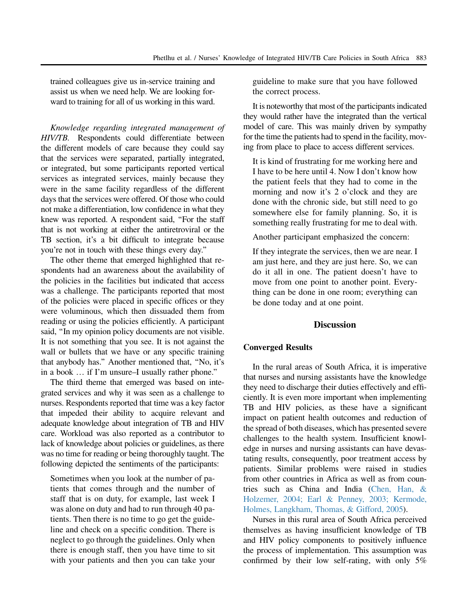trained colleagues give us in-service training and assist us when we need help. We are looking forward to training for all of us working in this ward.

Knowledge regarding integrated management of HIV/TB. Respondents could differentiate between the different models of care because they could say that the services were separated, partially integrated, or integrated, but some participants reported vertical services as integrated services, mainly because they were in the same facility regardless of the different days that the services were offered. Of those who could not make a differentiation, low confidence in what they knew was reported. A respondent said, ''For the staff that is not working at either the antiretroviral or the TB section, it's a bit difficult to integrate because you're not in touch with these things every day.''

The other theme that emerged highlighted that respondents had an awareness about the availability of the policies in the facilities but indicated that access was a challenge. The participants reported that most of the policies were placed in specific offices or they were voluminous, which then dissuaded them from reading or using the policies efficiently. A participant said, ''In my opinion policy documents are not visible. It is not something that you see. It is not against the wall or bullets that we have or any specific training that anybody has.'' Another mentioned that, ''No, it's in a book ... if I'm unsure–I usually rather phone."

The third theme that emerged was based on integrated services and why it was seen as a challenge to nurses. Respondents reported that time was a key factor that impeded their ability to acquire relevant and adequate knowledge about integration of TB and HIV care. Workload was also reported as a contributor to lack of knowledge about policies or guidelines, as there was no time for reading or being thoroughly taught. The following depicted the sentiments of the participants:

Sometimes when you look at the number of patients that comes through and the number of staff that is on duty, for example, last week I was alone on duty and had to run through 40 patients. Then there is no time to go get the guideline and check on a specific condition. There is neglect to go through the guidelines. Only when there is enough staff, then you have time to sit with your patients and then you can take your guideline to make sure that you have followed the correct process.

It is noteworthy that most of the participants indicated they would rather have the integrated than the vertical model of care. This was mainly driven by sympathy for the time the patients had to spend in the facility, moving from place to place to access different services.

It is kind of frustrating for me working here and I have to be here until 4. Now I don't know how the patient feels that they had to come in the morning and now it's 2 o'clock and they are done with the chronic side, but still need to go somewhere else for family planning. So, it is something really frustrating for me to deal with.

Another participant emphasized the concern:

If they integrate the services, then we are near. I am just here, and they are just here. So, we can do it all in one. The patient doesn't have to move from one point to another point. Everything can be done in one room; everything can be done today and at one point.

### **Discussion**

#### Converged Results

In the rural areas of South Africa, it is imperative that nurses and nursing assistants have the knowledge they need to discharge their duties effectively and efficiently. It is even more important when implementing TB and HIV policies, as these have a significant impact on patient health outcomes and reduction of the spread of both diseases, which has presented severe challenges to the health system. Insufficient knowledge in nurses and nursing assistants can have devastating results, consequently, poor treatment access by patients. Similar problems were raised in studies from other countries in Africa as well as from countries such as China and India [\(Chen, Han, &](#page-9-0) [Holzemer, 2004; Earl & Penney, 2003; Kermode,](#page-9-0) [Holmes, Langkham, Thomas, & Gifford, 2005\)](#page-9-0).

Nurses in this rural area of South Africa perceived themselves as having insufficient knowledge of TB and HIV policy components to positively influence the process of implementation. This assumption was confirmed by their low self-rating, with only 5%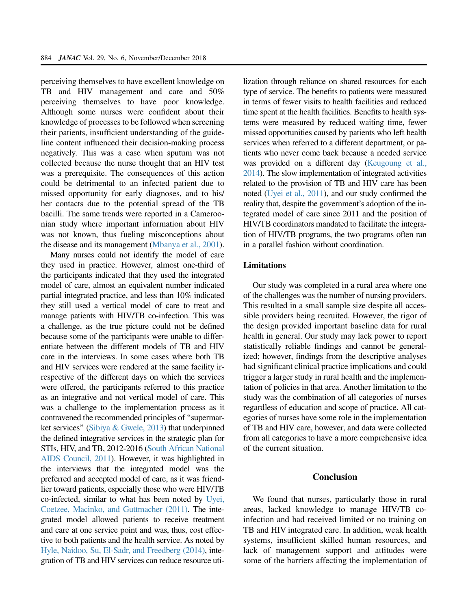perceiving themselves to have excellent knowledge on TB and HIV management and care and 50% perceiving themselves to have poor knowledge. Although some nurses were confident about their knowledge of processes to be followed when screening their patients, insufficient understanding of the guideline content influenced their decision-making process negatively. This was a case when sputum was not collected because the nurse thought that an HIV test was a prerequisite. The consequences of this action could be detrimental to an infected patient due to missed opportunity for early diagnoses, and to his/ her contacts due to the potential spread of the TB bacilli. The same trends were reported in a Cameroonian study where important information about HIV was not known, thus fueling misconceptions about the disease and its management [\(Mbanya et al., 2001\)](#page-10-0).

Many nurses could not identify the model of care they used in practice. However, almost one-third of the participants indicated that they used the integrated model of care, almost an equivalent number indicated partial integrated practice, and less than 10% indicated they still used a vertical model of care to treat and manage patients with HIV/TB co-infection. This was a challenge, as the true picture could not be defined because some of the participants were unable to differentiate between the different models of TB and HIV care in the interviews. In some cases where both TB and HIV services were rendered at the same facility irrespective of the different days on which the services were offered, the participants referred to this practice as an integrative and not vertical model of care. This was a challenge to the implementation process as it contravened the recommended principles of ''supermarket services'' [\(Sibiya & Gwele, 2013\)](#page-10-0) that underpinned the defined integrative services in the strategic plan for STIs, HIV, and TB, 2012-2016 [\(South African National](#page-10-0) [AIDS Council, 2011](#page-10-0)). However, it was highlighted in the interviews that the integrated model was the preferred and accepted model of care, as it was friendlier toward patients, especially those who were HIV/TB co-infected, similar to what has been noted by [Uyei,](#page-10-0) [Coetzee, Macinko, and Guttmacher \(2011\)](#page-10-0). The integrated model allowed patients to receive treatment and care at one service point and was, thus, cost effective to both patients and the health service. As noted by [Hyle, Naidoo, Su, El-Sadr, and Freedberg \(2014\)](#page-9-0), integration of TB and HIV services can reduce resource utilization through reliance on shared resources for each type of service. The benefits to patients were measured in terms of fewer visits to health facilities and reduced time spent at the health facilities. Benefits to health systems were measured by reduced waiting time, fewer missed opportunities caused by patients who left health services when referred to a different department, or patients who never come back because a needed service was provided on a different day ([Keugoung et al.,](#page-10-0) [2014\)](#page-10-0). The slow implementation of integrated activities related to the provision of TB and HIV care has been noted [\(Uyei et al., 2011](#page-10-0)), and our study confirmed the reality that, despite the government's adoption of the integrated model of care since 2011 and the position of HIV/TB coordinators mandated to facilitate the integration of HIV/TB programs, the two programs often ran in a parallel fashion without coordination.

## Limitations

Our study was completed in a rural area where one of the challenges was the number of nursing providers. This resulted in a small sample size despite all accessible providers being recruited. However, the rigor of the design provided important baseline data for rural health in general. Our study may lack power to report statistically reliable findings and cannot be generalized; however, findings from the descriptive analyses had significant clinical practice implications and could trigger a larger study in rural health and the implementation of policies in that area. Another limitation to the study was the combination of all categories of nurses regardless of education and scope of practice. All categories of nurses have some role in the implementation of TB and HIV care, however, and data were collected from all categories to have a more comprehensive idea of the current situation.

## Conclusion

We found that nurses, particularly those in rural areas, lacked knowledge to manage HIV/TB coinfection and had received limited or no training on TB and HIV integrated care. In addition, weak health systems, insufficient skilled human resources, and lack of management support and attitudes were some of the barriers affecting the implementation of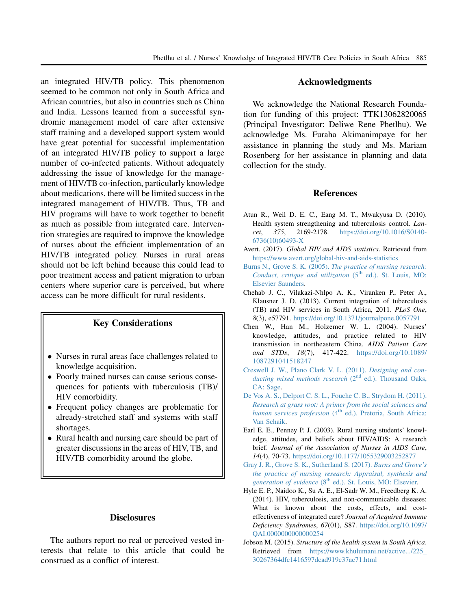<span id="page-9-0"></span>an integrated HIV/TB policy. This phenomenon seemed to be common not only in South Africa and African countries, but also in countries such as China and India. Lessons learned from a successful syndromic management model of care after extensive staff training and a developed support system would have great potential for successful implementation of an integrated HIV/TB policy to support a large number of co-infected patients. Without adequately addressing the issue of knowledge for the management of HIV/TB co-infection, particularly knowledge about medications, there will be limited success in the integrated management of HIV/TB. Thus, TB and HIV programs will have to work together to benefit as much as possible from integrated care. Intervention strategies are required to improve the knowledge of nurses about the efficient implementation of an HIV/TB integrated policy. Nurses in rural areas should not be left behind because this could lead to poor treatment access and patient migration to urban centers where superior care is perceived, but where access can be more difficult for rural residents.

# Key Considerations

- Nurses in rural areas face challenges related to knowledge acquisition.
- Poorly trained nurses can cause serious consequences for patients with tuberculosis (TB)/ HIV comorbidity.
- Frequent policy changes are problematic for already-stretched staff and systems with staff shortages.
- Rural health and nursing care should be part of greater discussions in the areas of HIV, TB, and HIV/TB comorbidity around the globe.

## **Disclosures**

The authors report no real or perceived vested interests that relate to this article that could be construed as a conflict of interest.

#### Acknowledgments

We acknowledge the National Research Foundation for funding of this project: TTK13062820065 (Principal Investigator: Deliwe Rene Phetlhu). We acknowledge Ms. Furaha Akimanimpaye for her assistance in planning the study and Ms. Mariam Rosenberg for her assistance in planning and data collection for the study.

#### **References**

- Atun R., Weil D. E. C., Eang M. T., Mwakyusa D. (2010). Health system strengthening and tuberculosis control. Lancet, 375, 2169-2178. [https://doi.org/10.1016/S0140-](https://doi.org/10.1016/S0140-6736(10)60493-X) [6736\(10\)60493-X](https://doi.org/10.1016/S0140-6736(10)60493-X)
- Avert. (2017). Global HIV and AIDS statistics. Retrieved from <https://www.avert.org/global-hiv-and-aids-statistics>
- Burns N., Grove S. K. (2005). [The practice of nursing research:](http://refhub.elsevier.com/S1055-3290(18)30123-7/sref3) [Conduct,](http://refhub.elsevier.com/S1055-3290(18)30123-7/sref3) [critique](http://refhub.elsevier.com/S1055-3290(18)30123-7/sref3) [and](http://refhub.elsevier.com/S1055-3290(18)30123-7/sref3) [utilization](http://refhub.elsevier.com/S1055-3290(18)30123-7/sref3)  $(5<sup>th</sup>$  [ed.\). St. Louis, MO:](http://refhub.elsevier.com/S1055-3290(18)30123-7/sref3) [Elsevier Saunders](http://refhub.elsevier.com/S1055-3290(18)30123-7/sref3).
- Chehab J. C., Vilakazi-Nhlpo A. K., Viranken P., Peter A., Klausner J. D. (2013). Current integration of tuberculosis (TB) and HIV services in South Africa, 2011. PLoS One, 8(3), e57791. <https://doi.org/10.1371/journalpone.0057791>
- Chen W., Han M., Holzemer W. L. (2004). Nurses' knowledge, attitudes, and practice related to HIV transmission in northeastern China. AIDS Patient Care and STDs, 18(7), 417-422. [https://doi.org/10.1089/](https://doi.org/10.1089/1087291041518247) [1087291041518247](https://doi.org/10.1089/1087291041518247)
- [Creswell J. W., Plano Clark V. L. \(2011\).](http://refhub.elsevier.com/S1055-3290(18)30123-7/sref6) Designing and con[ducting](http://refhub.elsevier.com/S1055-3290(18)30123-7/sref6) [mixed](http://refhub.elsevier.com/S1055-3290(18)30123-7/sref6) [methods](http://refhub.elsevier.com/S1055-3290(18)30123-7/sref6) [research](http://refhub.elsevier.com/S1055-3290(18)30123-7/sref6)  $(2<sup>nd</sup>$  [ed.\). Thousand Oaks,](http://refhub.elsevier.com/S1055-3290(18)30123-7/sref6) [CA: Sage](http://refhub.elsevier.com/S1055-3290(18)30123-7/sref6).
- [De Vos A. S., Delport C. S. L., Fouche C. B., Strydom H. \(2011\).](http://refhub.elsevier.com/S1055-3290(18)30123-7/sref7) [Research at grass root: A primer from the social sciences and](http://refhub.elsevier.com/S1055-3290(18)30123-7/sref7) [human](http://refhub.elsevier.com/S1055-3290(18)30123-7/sref7) [services](http://refhub.elsevier.com/S1055-3290(18)30123-7/sref7) [profession](http://refhub.elsevier.com/S1055-3290(18)30123-7/sref7) (4<sup>th</sup> [ed.\). Pretoria, South Africa:](http://refhub.elsevier.com/S1055-3290(18)30123-7/sref7) [Van Schaik](http://refhub.elsevier.com/S1055-3290(18)30123-7/sref7).
- Earl E. E., Penney P. J. (2003). Rural nursing students' knowledge, attitudes, and beliefs about HIV/AIDS: A research brief. Journal of the Association of Nurses in AIDS Care, 14(4), 70-73. <https://doi.org/10.1177/1055329003252877>
- [Gray J. R., Grove S. K., Sutherland S. \(2017\).](http://refhub.elsevier.com/S1055-3290(18)30123-7/sref9) Burns and Grove's [the practice of nursing research: Appraisal, synthesis and](http://refhub.elsevier.com/S1055-3290(18)30123-7/sref9) [generation](http://refhub.elsevier.com/S1055-3290(18)30123-7/sref9) [of](http://refhub.elsevier.com/S1055-3290(18)30123-7/sref9) [evidence](http://refhub.elsevier.com/S1055-3290(18)30123-7/sref9)  $(8<sup>th</sup>$  [ed.\). St. Louis, MO: Elsevier](http://refhub.elsevier.com/S1055-3290(18)30123-7/sref9).
- Hyle E. P., Naidoo K., Su A. E., El-Sadr W. M., Freedberg K. A. (2014). HIV, tuberculosis, and non-communicable diseases: What is known about the costs, effects, and costeffectiveness of integrated care? Journal of Acquired Immune Deficiency Syndromes, 67(01), S87. [https://doi.org/10.1097/](https://doi.org/10.1097/QAI.0000000000000254) [QAI.0000000000000254](https://doi.org/10.1097/QAI.0000000000000254)
- Jobson M. (2015). Structure of the health system in South Africa. Retrieved from [https://www.khulumani.net/active.../225\\_](https://www.khulumani.net/active.../225_30267364dfc1416597dcad919c37ac71.html) [30267364dfc1416597dcad919c37ac71.html](https://www.khulumani.net/active.../225_30267364dfc1416597dcad919c37ac71.html)